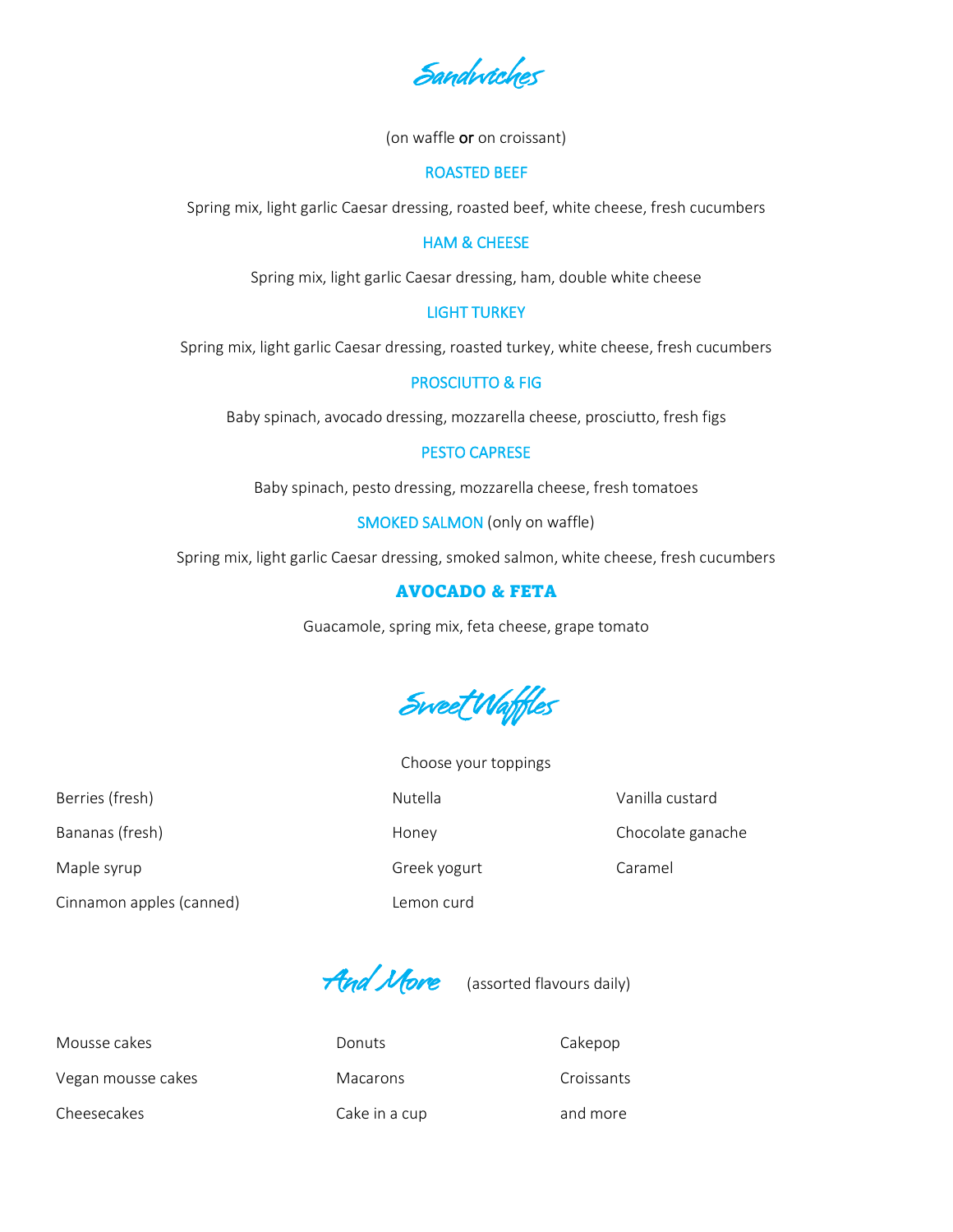Sandwiches

(on waffle or on croissant)

#### ROASTED BEEF

Spring mix, light garlic Caesar dressing, roasted beef, white cheese, fresh cucumbers

## HAM & CHEESE

Spring mix, light garlic Caesar dressing, ham, double white cheese

## LIGHT TURKEY

Spring mix, light garlic Caesar dressing, roasted turkey, white cheese, fresh cucumbers

#### PROSCIUTTO & FIG

Baby spinach, avocado dressing, mozzarella cheese, prosciutto, fresh figs

### PESTO CAPRESE

Baby spinach, pesto dressing, mozzarella cheese, fresh tomatoes

SMOKED SALMON (only on waffle)

Spring mix, light garlic Caesar dressing, smoked salmon, white cheese, fresh cucumbers

# AVOCADO & FETA

Guacamole, spring mix, feta cheese, grape tomato



Choose your toppings

Berries (fresh) **Nutella** Vanilla custard Vanilla Custard Vanilla Custard Vanilla Custard Vanilla Custard Vanilla Custard Vanilla Custard Vanilla Custard Vanilla Custard Vanilla Custard Vanilla Custard Vanilla Custard Vani Bananas (fresh) and the control of the Honey Chocolate ganache Chocolate ganache Maple syrup Caramel Caramel Greek yogurt Caramel

Cinnamon apples (canned) Lemon curd

And More (assorted flavours daily)

Mousse cakes **Calculates** Donuts **Cakepop** Vegan mousse cakes The Macarons Croissants Cheesecakes Cake in a cup cake in a cup